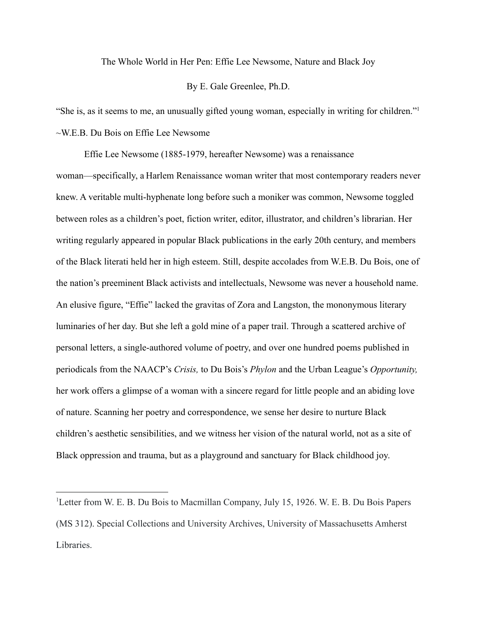The Whole World in Her Pen: Effie Lee Newsome, Nature and Black Joy

## By E. Gale Greenlee, Ph.D.

"She is, as it seems to me, an unusually gifted young woman, especially in writing for children."<sup>1</sup> ~W.E.B. Du Bois on Effie Lee Newsome

Effie Lee Newsome (1885-1979, hereafter Newsome) was a renaissance woman—specifically, a Harlem Renaissance woman writer that most contemporary readers never knew. A veritable multi-hyphenate long before such a moniker was common, Newsome toggled between roles as a children's poet, fiction writer, editor, illustrator, and children's librarian. Her writing regularly appeared in popular Black publications in the early 20th century, and members of the Black literati held her in high esteem. Still, despite accolades from W.E.B. Du Bois, one of the nation's preeminent Black activists and intellectuals, Newsome was never a household name. An elusive figure, "Effie" lacked the gravitas of Zora and Langston, the mononymous literary luminaries of her day. But she left a gold mine of a paper trail. Through a scattered archive of personal letters, a single-authored volume of poetry, and over one hundred poems published in periodicals from the NAACP's *Crisis,* to Du Bois's *Phylon* and the Urban League's *Opportunity,* her work offers a glimpse of a woman with a sincere regard for little people and an abiding love of nature. Scanning her poetry and correspondence, we sense her desire to nurture Black children's aesthetic sensibilities, and we witness her vision of the natural world, not as a site of Black oppression and trauma, but as a playground and sanctuary for Black childhood joy.

<sup>&</sup>lt;sup>1</sup>Letter from W. E. B. Du Bois to Macmillan Company, July 15, 1926. W. E. B. Du Bois Papers (MS 312). Special Collections and University Archives, University of Massachusetts Amherst Libraries.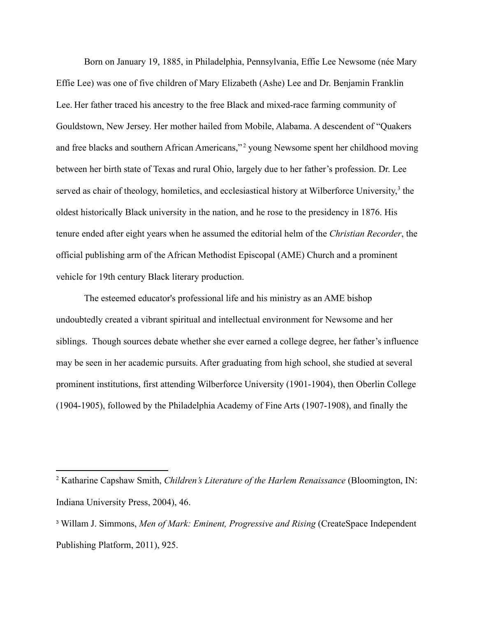Born on January 19, 1885, in Philadelphia, Pennsylvania, Effie Lee Newsome (née Mary Effie Lee) was one of five children of Mary Elizabeth (Ashe) Lee and Dr. Benjamin Franklin Lee. Her father traced his ancestry to the free Black and mixed-race farming community of Gouldstown, New Jersey. Her mother hailed from Mobile, Alabama. A descendent of "Quakers and free blacks and southern African Americans,"<sup>2</sup> young Newsome spent her childhood moving between her birth state of Texas and rural Ohio, largely due to her father's profession. Dr. Lee served as chair of theology, homiletics, and ecclesiastical history at Wilberforce University,<sup>3</sup> the oldest historically Black university in the nation, and he rose to the presidency in 1876. His tenure ended after eight years when he assumed the editorial helm of the *Christian Recorder*, the official publishing arm of the African Methodist Episcopal (AME) Church and a prominent vehicle for 19th century Black literary production.

The esteemed educator's professional life and his ministry as an AME bishop undoubtedly created a vibrant spiritual and intellectual environment for Newsome and her siblings. Though sources debate whether she ever earned a college degree, her father's influence may be seen in her academic pursuits. After graduating from high school, she studied at several prominent institutions, first attending Wilberforce University (1901-1904), then Oberlin College (1904-1905), followed by the Philadelphia Academy of Fine Arts (1907-1908), and finally the

<sup>2</sup> Katharine Capshaw Smith, *Children's Literature of the Harlem Renaissance* (Bloomington, IN: Indiana University Press, 2004), 46.

<sup>3</sup> Willam J. Simmons, *Men of Mark: Eminent, Progressive and Rising* (CreateSpace Independent Publishing Platform, 2011), 925.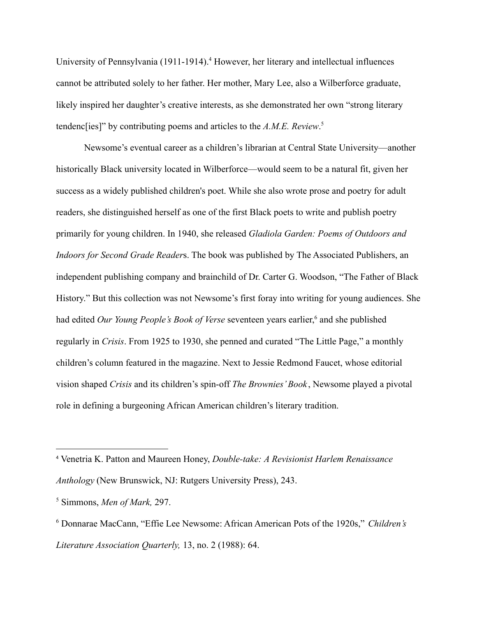University of Pennsylvania (1911-1914).<sup>4</sup> However, her literary and intellectual influences cannot be attributed solely to her father. Her mother, Mary Lee, also a Wilberforce graduate, likely inspired her daughter's creative interests, as she demonstrated her own "strong literary tendenc[ies]" by contributing poems and articles to the *A.M.E. Review*. 5

Newsome's eventual career as a children's librarian at Central State University—another historically Black university located in Wilberforce—would seem to be a natural fit, given her success as a widely published children's poet. While she also wrote prose and poetry for adult readers, she distinguished herself as one of the first Black poets to write and publish poetry primarily for young children. In 1940, she released *Gladiola Garden: Poems of Outdoors and Indoors for Second Grade Reader*s. The book was published by The Associated Publishers, an independent publishing company and brainchild of Dr. Carter G. Woodson, "The Father of Black History." But this collection was not Newsome's first foray into writing for young audiences. She had edited *Our Young People's Book of Verse* seventeen years earlier, <sup>6</sup> and she published regularly in *Crisis*. From 1925 to 1930, she penned and curated "The Little Page," a monthly children's column featured in the magazine. Next to Jessie Redmond Faucet, whose editorial vision shaped *Crisis* and its children's spin-off *The Brownies' Book* , Newsome played a pivotal role in defining a burgeoning African American children's literary tradition.

<sup>4</sup> Venetria K. Patton and Maureen Honey, *Double-take: A Revisionist Harlem Renaissance Anthology* (New Brunswick, NJ: Rutgers University Press), 243.

<sup>5</sup> Simmons, *Men of Mark,* 297.

<sup>6</sup> Donnarae MacCann, "Effie Lee Newsome: African American Pots of the 1920s," *Children's Literature Association Quarterly,* 13, no. 2 (1988): 64.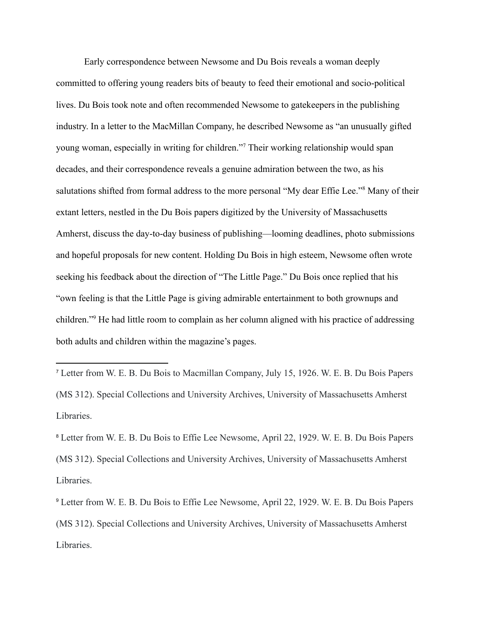Early correspondence between Newsome and Du Bois reveals a woman deeply committed to offering young readers bits of beauty to feed their emotional and socio-political lives. Du Bois took note and often recommended Newsome to gatekeepers in the publishing industry. In a letter to the MacMillan Company, he described Newsome as "an unusually gifted young woman, especially in writing for children."<sup>7</sup> Their working relationship would span decades, and their correspondence reveals a genuine admiration between the two, as his salutations shifted from formal address to the more personal "My dear Effie Lee."<sup>8</sup> Many of their extant letters, nestled in the Du Bois papers digitized by the University of Massachusetts Amherst, discuss the day-to-day business of publishing—looming deadlines, photo submissions and hopeful proposals for new content. Holding Du Bois in high esteem, Newsome often wrote seeking his feedback about the direction of "The Little Page." Du Bois once replied that his "own feeling is that the Little Page is giving admirable entertainment to both grownups and children."<sup>9</sup> He had little room to complain as her column aligned with his practice of addressing both adults and children within the magazine's pages.

<sup>7</sup> Letter from W. E. B. Du Bois to Macmillan Company, July 15, 1926. W. E. B. Du Bois Papers (MS 312). Special Collections and University Archives, University of Massachusetts Amherst Libraries.

<sup>8</sup> Letter from W. E. B. Du Bois to Effie Lee Newsome, April 22, 1929. W. E. B. Du Bois Papers (MS 312). Special Collections and University Archives, University of Massachusetts Amherst Libraries.

<sup>9</sup> Letter from W. E. B. Du Bois to Effie Lee Newsome, April 22, 1929. W. E. B. Du Bois Papers (MS 312). Special Collections and University Archives, University of Massachusetts Amherst Libraries.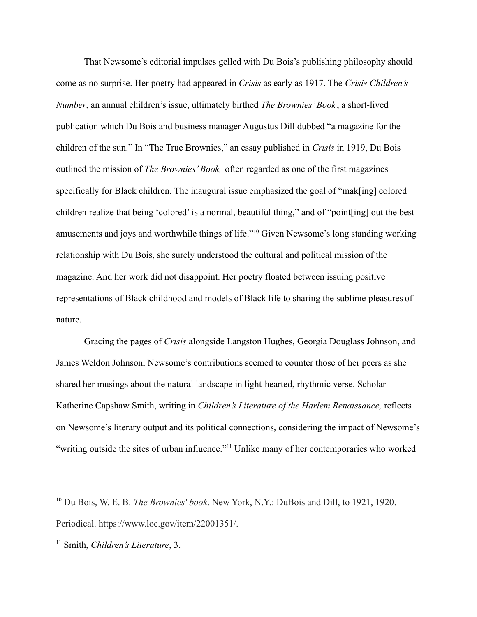That Newsome's editorial impulses gelled with Du Bois's publishing philosophy should come as no surprise. Her poetry had appeared in *Crisis* as early as 1917. The *Crisis Children's Number*, an annual children's issue, ultimately birthed *The Brownies' Book* , a short-lived publication which Du Bois and business manager Augustus Dill dubbed "a magazine for the children of the sun." In "The True Brownies," an essay published in *Crisis* in 1919, Du Bois outlined the mission of *The Brownies' Book,* often regarded as one of the first magazines specifically for Black children. The inaugural issue emphasized the goal of "mak[ing] colored children realize that being 'colored' is a normal, beautiful thing," and of "point[ing] out the best amusements and joys and worthwhile things of life."<sup>10</sup> Given Newsome's long standing working relationship with Du Bois, she surely understood the cultural and political mission of the magazine. And her work did not disappoint. Her poetry floated between issuing positive representations of Black childhood and models of Black life to sharing the sublime pleasures of nature.

Gracing the pages of *Crisis* alongside Langston Hughes, Georgia Douglass Johnson, and James Weldon Johnson, Newsome's contributions seemed to counter those of her peers as she shared her musings about the natural landscape in light-hearted, rhythmic verse. Scholar Katherine Capshaw Smith, writing in *Children's Literature of the Harlem Renaissance,* reflects on Newsome's literary output and its political connections, considering the impact of Newsome's "writing outside the sites of urban influence."<sup>11</sup> Unlike many of her contemporaries who worked

<sup>10</sup> Du Bois, W. E. B. *The Brownies' book*. New York, N.Y.: DuBois and Dill, to 1921, 1920. Periodical. https://www.loc.gov/item/22001351/.

<sup>11</sup> Smith, *Children's Literature*, 3.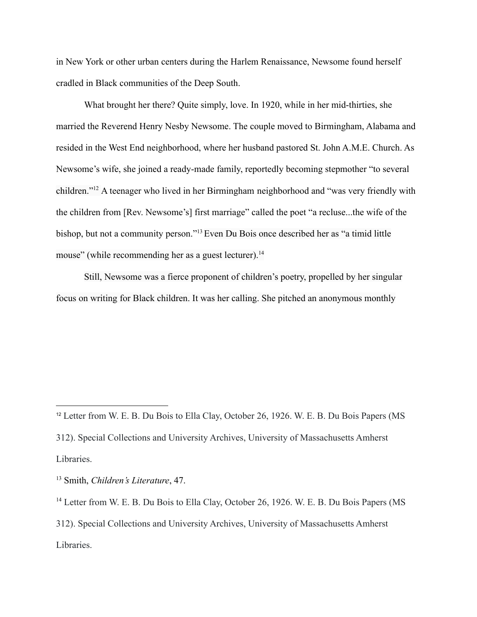in New York or other urban centers during the Harlem Renaissance, Newsome found herself cradled in Black communities of the Deep South.

What brought her there? Quite simply, love. In 1920, while in her mid-thirties, she married the Reverend Henry Nesby Newsome. The couple moved to Birmingham, Alabama and resided in the West End neighborhood, where her husband pastored St. John A.M.E. Church. As Newsome's wife, she joined a ready-made family, reportedly becoming stepmother "to several children."<sup>12</sup> A teenager who lived in her Birmingham neighborhood and "was very friendly with the children from [Rev. Newsome's] first marriage" called the poet "a recluse...the wife of the bishop, but not a community person."<sup>13</sup> Even Du Bois once described her as "a timid little mouse" (while recommending her as a guest lecturer).<sup>14</sup>

Still, Newsome was a fierce proponent of children's poetry, propelled by her singular focus on writing for Black children. It was her calling. She pitched an anonymous monthly

<sup>&</sup>lt;sup>12</sup> Letter from W. E. B. Du Bois to Ella Clay, October 26, 1926. W. E. B. Du Bois Papers (MS 312). Special Collections and University Archives, University of Massachusetts Amherst Libraries.

<sup>13</sup> Smith, *Children's Literature*, 47.

<sup>&</sup>lt;sup>14</sup> Letter from W. E. B. Du Bois to Ella Clay, October 26, 1926. W. E. B. Du Bois Papers (MS 312). Special Collections and University Archives, University of Massachusetts Amherst Libraries.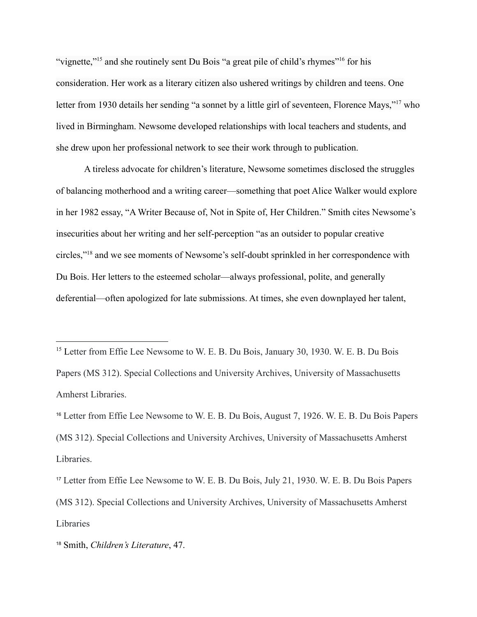"vignette,"<sup>15</sup> and she routinely sent Du Bois "a great pile of child's rhymes"<sup>16</sup> for his consideration. Her work as a literary citizen also ushered writings by children and teens. One letter from 1930 details her sending "a sonnet by a little girl of seventeen, Florence Mays,"<sup>17</sup> who lived in Birmingham. Newsome developed relationships with local teachers and students, and she drew upon her professional network to see their work through to publication.

A tireless advocate for children's literature, Newsome sometimes disclosed the struggles of balancing motherhood and a writing career—something that poet Alice Walker would explore in her 1982 essay, "A Writer Because of, Not in Spite of, Her Children." Smith cites Newsome's insecurities about her writing and her self-perception "as an outsider to popular creative circles,"<sup>18</sup> and we see moments of Newsome's self-doubt sprinkled in her correspondence with Du Bois. Her letters to the esteemed scholar—always professional, polite, and generally deferential—often apologized for late submissions. At times, she even downplayed her talent,

<sup>&</sup>lt;sup>15</sup> Letter from Effie Lee Newsome to W. E. B. Du Bois, January 30, 1930. W. E. B. Du Bois Papers (MS 312). Special Collections and University Archives, University of Massachusetts Amherst Libraries.

<sup>16</sup> Letter from Effie Lee Newsome to W. E. B. Du Bois, August 7, 1926. W. E. B. Du Bois Papers (MS 312). Special Collections and University Archives, University of Massachusetts Amherst Libraries.

<sup>17</sup> Letter from Effie Lee Newsome to W. E. B. Du Bois, July 21, 1930. W. E. B. Du Bois Papers (MS 312). Special Collections and University Archives, University of Massachusetts Amherst Libraries

<sup>18</sup> Smith, *Children's Literature*, 47.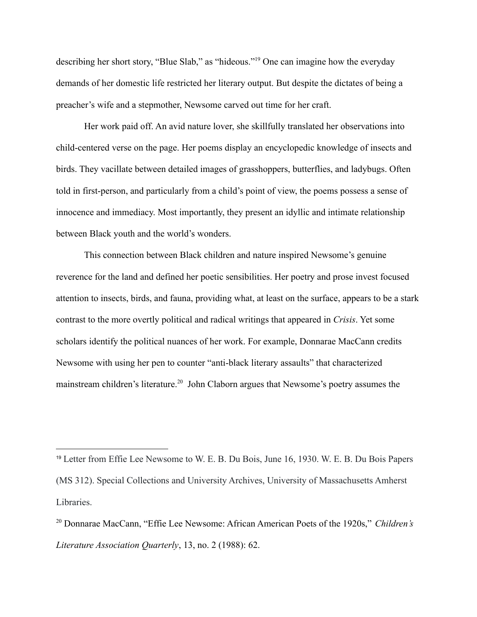describing her short story, "Blue Slab," as "hideous."<sup>19</sup> One can imagine how the everyday demands of her domestic life restricted her literary output. But despite the dictates of being a preacher's wife and a stepmother, Newsome carved out time for her craft.

Her work paid off. An avid nature lover, she skillfully translated her observations into child-centered verse on the page. Her poems display an encyclopedic knowledge of insects and birds. They vacillate between detailed images of grasshoppers, butterflies, and ladybugs. Often told in first-person, and particularly from a child's point of view, the poems possess a sense of innocence and immediacy. Most importantly, they present an idyllic and intimate relationship between Black youth and the world's wonders.

This connection between Black children and nature inspired Newsome's genuine reverence for the land and defined her poetic sensibilities. Her poetry and prose invest focused attention to insects, birds, and fauna, providing what, at least on the surface, appears to be a stark contrast to the more overtly political and radical writings that appeared in *Crisis*. Yet some scholars identify the political nuances of her work. For example, Donnarae MacCann credits Newsome with using her pen to counter "anti-black literary assaults" that characterized mainstream children's literature.<sup>20</sup> John Claborn argues that Newsome's poetry assumes the

<sup>19</sup> Letter from Effie Lee Newsome to W. E. B. Du Bois, June 16, 1930. W. E. B. Du Bois Papers (MS 312). Special Collections and University Archives, University of Massachusetts Amherst Libraries.

<sup>20</sup> Donnarae MacCann, "Effie Lee Newsome: African American Poets of the 1920s," *Children's Literature Association Quarterly*, 13, no. 2 (1988): 62.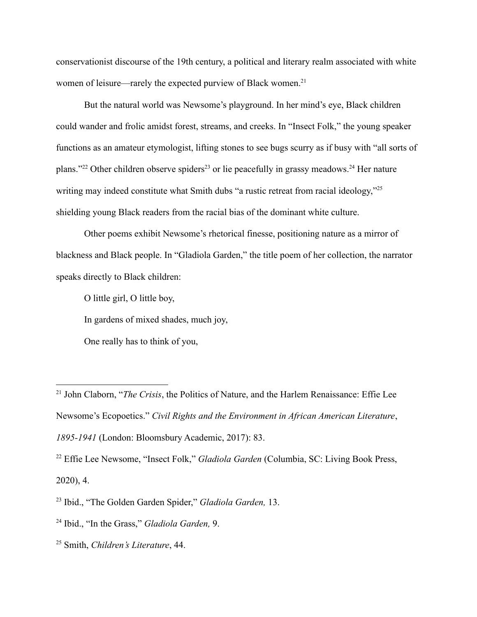conservationist discourse of the 19th century, a political and literary realm associated with white women of leisure—rarely the expected purview of Black women.<sup>21</sup>

But the natural world was Newsome's playground. In her mind's eye, Black children could wander and frolic amidst forest, streams, and creeks. In "Insect Folk," the young speaker functions as an amateur etymologist, lifting stones to see bugs scurry as if busy with "all sorts of plans."<sup>22</sup> Other children observe spiders<sup>23</sup> or lie peacefully in grassy meadows.<sup>24</sup> Her nature writing may indeed constitute what Smith dubs "a rustic retreat from racial ideology,"<sup>25</sup> shielding young Black readers from the racial bias of the dominant white culture.

Other poems exhibit Newsome's rhetorical finesse, positioning nature as a mirror of blackness and Black people. In "Gladiola Garden," the title poem of her collection, the narrator speaks directly to Black children:

O little girl, O little boy,

In gardens of mixed shades, much joy,

One really has to think of you,

<sup>21</sup> John Claborn, "*The Crisis*, the Politics of Nature, and the Harlem Renaissance: Effie Lee Newsome's Ecopoetics." *Civil Rights and the Environment in African American Literature*, *1895-1941* (London: Bloomsbury Academic, 2017): 83.

<sup>22</sup> Effie Lee Newsome, "Insect Folk," *Gladiola Garden* (Columbia, SC: Living Book Press, 2020), 4.

<sup>23</sup> Ibid., "The Golden Garden Spider," *Gladiola Garden,* 13.

<sup>24</sup> Ibid., "In the Grass," *Gladiola Garden,* 9.

<sup>25</sup> Smith, *Children's Literature*, 44.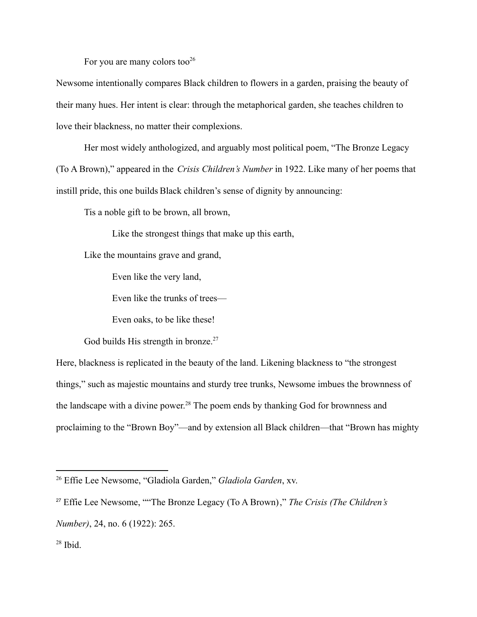For you are many colors too<sup>26</sup>

Newsome intentionally compares Black children to flowers in a garden, praising the beauty of their many hues. Her intent is clear: through the metaphorical garden, she teaches children to love their blackness, no matter their complexions.

Her most widely anthologized, and arguably most political poem, "The Bronze Legacy (To A Brown)," appeared in the *Crisis Children's Number* in 1922. Like many of her poems that instill pride, this one builds Black children's sense of dignity by announcing:

Tis a noble gift to be brown, all brown,

Like the strongest things that make up this earth,

Like the mountains grave and grand,

Even like the very land,

Even like the trunks of trees—

Even oaks, to be like these!

God builds His strength in bronze. $27$ 

Here, blackness is replicated in the beauty of the land. Likening blackness to "the strongest things," such as majestic mountains and sturdy tree trunks, Newsome imbues the brownness of the landscape with a divine power.<sup>28</sup> The poem ends by thanking God for brownness and proclaiming to the "Brown Boy"—and by extension all Black children—that "Brown has mighty

<sup>26</sup> Effie Lee Newsome, "Gladiola Garden," *Gladiola Garden*, xv.

<sup>27</sup> Effie Lee Newsome, ""The Bronze Legacy (To A Brown)," *The Crisis (The Children's*

*Number)*, 24, no. 6 (1922): 265.

<sup>28</sup> Ibid.